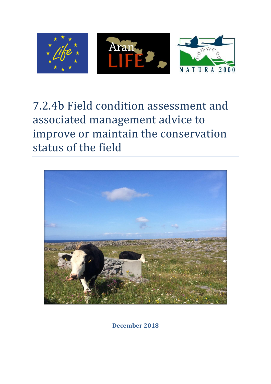

# 7.2.4b Field condition assessment and associated management advice to improve or maintain the conservation status of the field



**December 2018**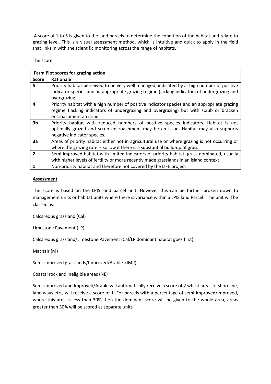A score of 1 to 5 is given to the land parcels to determine the condition of the habitat and relate to grazing level. This is a visual assessment method, which is intuitive and quick to apply in the field that links in with the scientific monitoring across the range of habitats.

The score:

| Farm Plot scores for grazing action |                                                                                                                                                                                                                |  |  |  |  |
|-------------------------------------|----------------------------------------------------------------------------------------------------------------------------------------------------------------------------------------------------------------|--|--|--|--|
| <b>Score</b>                        | <b>Rationale</b>                                                                                                                                                                                               |  |  |  |  |
| 5                                   | Priority habitat perceived to be very well managed, indicated by a high number of positive<br>indicator species and an appropriate grazing regime (lacking indicators of undergrazing and<br>overgrazing)      |  |  |  |  |
| 4                                   | Priority habitat with a high number of positive indicator species and an appropriate grazing<br>regime (lacking indicators of undergrazing and overgrazing) but with scrub or bracken<br>encroachment an issue |  |  |  |  |
| 3 <sub>b</sub>                      | Priority habitat with reduced numbers of positive species indicators. Habitat is not<br>optimally grazed and scrub encroachment may be an issue. Habitat may also supports<br>negative indicator species.      |  |  |  |  |
| 3a                                  | Areas of priority habitat either not in agricultural use or where grazing is not occurring or<br>where the grazing rate is so low it there is a substantial build-up of grass                                  |  |  |  |  |
| $\overline{2}$                      | Semi-improved habitat with limited indicators of priority habitat, grass dominated, usually<br>with higher levels of fertility or more recently made grasslands in an island context                           |  |  |  |  |
|                                     | Non-priority habitat and therefore not covered by the LIFE project                                                                                                                                             |  |  |  |  |

#### **Assessment**

The score is based on the LPIS land parcel unit. However this can be further broken down to management units or habitat units where there is variance within a LPIS land Parcel. The unit will be classed as:

Calcareous grassland (Cal)

Limestone Pavement (LP)

Calcareous grassland/Limestone Pavement (Cal/LP dominant habitat goes first)

Machair (M)

Semi-improved grasslands/Improved/Arable (IMP)

Coastal rock and ineligible areas (NE)

Semi-improved and Improved/Arable will automatically receive a score of 2 whilst areas of shoreline, lane ways etc., will receive a score of 1. For parcels with a percentage of semi-improved/improved, where this area is less than 30% then the dominant score will be given to the whole area, areas greater than 30% will be scored as separate units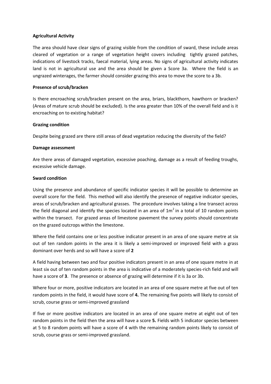### **Agricultural Activity**

The area should have clear signs of grazing visible from the condition of sward, these include areas cleared of vegetation or a range of vegetation height covers including tightly grazed patches, indications of livestock tracks, faecal material, lying areas. No signs of agricultural activity indicates land is not in agricultural use and the area should be given a Score 3a. Where the field is an ungrazed winterages, the farmer should consider grazing this area to move the score to a 3b.

## **Presence of scrub/bracken**

Is there encroaching scrub/bracken present on the area, briars, blackthorn, hawthorn or bracken? (Areas of mature scrub should be excluded). Is the area greater than 10% of the overall field and is it encroaching on to existing habitat?

### **Grazing condition**

Despite being grazed are there still areas of dead vegetation reducing the diversity of the field?

#### **Damage assessment**

Are there areas of damaged vegetation, excessive poaching, damage as a result of feeding troughs, excessive vehicle damage.

### **Sward condition**

Using the presence and abundance of specific indicator species it will be possible to determine an overall score for the field. This method will also identify the presence of negative indicator species, areas of scrub/bracken and agricultural grasses. The procedure involves taking a line transect across the field diagonal and identify the species located in an area of  $1m^2$  in a total of 10 random points within the transect. For grazed areas of limestone pavement the survey points should concentrate on the grazed outcrops within the limestone.

Where the field contains one or less positive indicator present in an area of one square metre at six out of ten random points in the area it is likely a semi-improved or improved field with a grass dominant over herds and so will have a score of **2**

A field having between two and four positive indicators present in an area of one square metre in at least six out of ten random points in the area is indicative of a moderately species-rich field and will have a score of **3**. The presence or absence of grazing will determine if it is 3a or 3b.

Where four or more, positive indicators are located in an area of one square metre at five out of ten random points in the field, it would have score of **4.** The remaining five points will likely to consist of scrub, course grass or semi-improved grassland

If five or more positive indicators are located in an area of one square metre at eight out of ten random points in the field then the area will have a score **5.** Fields with 5 indicator species between at 5 to 8 random points will have a score of 4 with the remaining random points likely to consist of scrub, course grass or semi-improved grassland.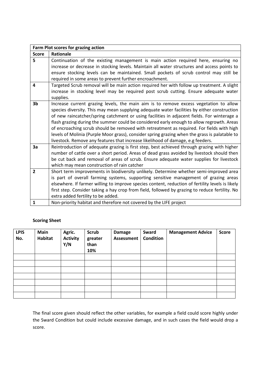| Farm Plot scores for grazing action |                                                                                                  |  |  |  |  |
|-------------------------------------|--------------------------------------------------------------------------------------------------|--|--|--|--|
| <b>Score</b>                        | Rationale                                                                                        |  |  |  |  |
| 5                                   | Continuation of the existing management is main action required here, ensuring no                |  |  |  |  |
|                                     | increase or decrease in stocking levels. Maintain all water structures and access points to      |  |  |  |  |
|                                     | ensure stocking levels can be maintained. Small pockets of scrub control may still be            |  |  |  |  |
|                                     | required in some areas to prevent further encroachment.                                          |  |  |  |  |
| 4                                   | Targeted Scrub removal will be main action required her with follow up treatment. A slight       |  |  |  |  |
|                                     | increase in stocking level may be required post scrub cutting. Ensure adequate water             |  |  |  |  |
|                                     | supplies.                                                                                        |  |  |  |  |
| 3 <sub>b</sub>                      | Increase current grazing levels, the main aim is to remove excess vegetation to allow            |  |  |  |  |
|                                     | species diversity. This may mean supplying adequate water facilities by either construction      |  |  |  |  |
|                                     | of new raincatcher/spring catchment or using facilities in adjacent fields. For winterage a      |  |  |  |  |
|                                     | flash grazing during the summer could be considered early enough to allow regrowth. Areas        |  |  |  |  |
|                                     | of encroaching scrub should be removed with retreatment as required. For fields with high        |  |  |  |  |
|                                     | levels of Molinia (Purple Moor grass), consider spring grazing when the grass is palatable to    |  |  |  |  |
|                                     | livestock. Remove any features that increase likelihood of damage, e.g feeders.                  |  |  |  |  |
| 3a                                  | Reintroduction of adequate grazing is first step, best achieved through grazing with higher      |  |  |  |  |
|                                     | number of cattle over a short period. Areas of dead grass avoided by livestock should then       |  |  |  |  |
|                                     | be cut back and removal of areas of scrub. Ensure adequate water supplies for livestock          |  |  |  |  |
|                                     | which may mean construction of rain catcher                                                      |  |  |  |  |
| $\overline{2}$                      | Short term improvements in biodiversity unlikely. Determine whether semi-improved area           |  |  |  |  |
|                                     | is part of overall farming systems, supporting sensitive management of grazing areas             |  |  |  |  |
|                                     | elsewhere. If farmer willing to improve species content, reduction of fertility levels is likely |  |  |  |  |
|                                     | first step. Consider taking a hay crop from field, followed by grazing to reduce fertility. No   |  |  |  |  |
|                                     | extra added fertility to be added.                                                               |  |  |  |  |
| $\mathbf{1}$                        | Non-priority habitat and therefore not covered by the LIFE project                               |  |  |  |  |

# **Scoring Sheet**

| <b>LPIS</b><br>No. | Main<br>Habitat | Agric.<br><b>Activity</b><br>Y/N | <b>Scrub</b><br>greater<br>than<br>10% | <b>Damage</b><br>Assessment | <b>Sward</b><br><b>Condition</b> | <b>Management Advice</b> | <b>Score</b> |
|--------------------|-----------------|----------------------------------|----------------------------------------|-----------------------------|----------------------------------|--------------------------|--------------|
|                    |                 |                                  |                                        |                             |                                  |                          |              |
|                    |                 |                                  |                                        |                             |                                  |                          |              |
|                    |                 |                                  |                                        |                             |                                  |                          |              |
|                    |                 |                                  |                                        |                             |                                  |                          |              |
|                    |                 |                                  |                                        |                             |                                  |                          |              |
|                    |                 |                                  |                                        |                             |                                  |                          |              |
|                    |                 |                                  |                                        |                             |                                  |                          |              |

The final score given should reflect the other variables, for example a field could score highly under the Sward Condition but could include excessive damage, and in such cases the field would drop a score.